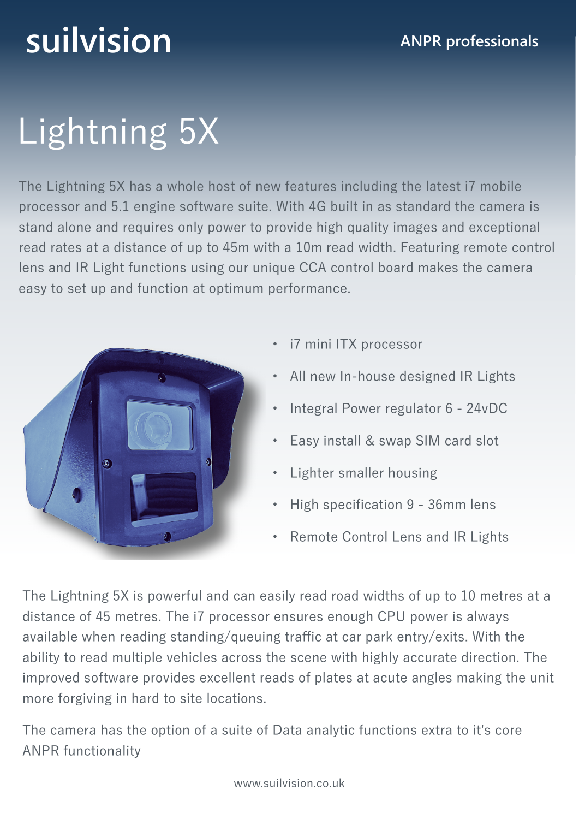## **suilvision ANPR professionals**

# Lightning 5X

The Lightning 5X has a whole host of new features including the latest i7 mobile processor and 5.1 engine software suite. With 4G built in as standard the camera is stand alone and requires only power to provide high quality images and exceptional read rates at a distance of up to 45m with a 10m read width. Featuring remote control lens and IR Light functions using our unique CCA control board makes the camera easy to set up and function at optimum performance.



- i7 mini ITX processor
- All new In-house designed IR Lights
- Integral Power regulator 6 24vDC
- Easy install & swap SIM card slot
- Lighter smaller housing
- High specification 9 36mm lens
- Remote Control Lens and IR Lights

The Lightning 5X is powerful and can easily read road widths of up to 10 metres at a distance of 45 metres. The i7 processor ensures enough CPU power is always available when reading standing/queuing traffic at car park entry/exits. With the ability to read multiple vehicles across the scene with highly accurate direction. The improved software provides excellent reads of plates at acute angles making the unit more forgiving in hard to site locations.

The camera has the option of a suite of Data analytic functions extra to it's core ANPR functionality